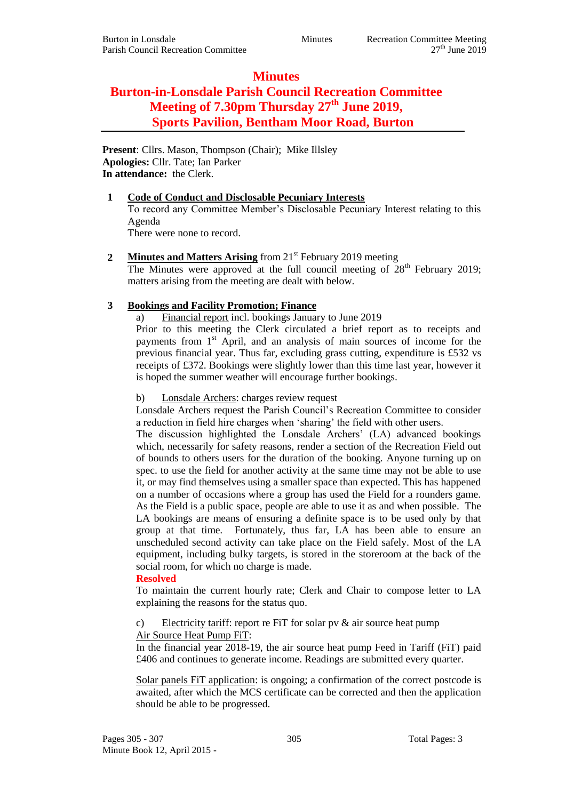# **Minutes**

# **Burton-in-Lonsdale Parish Council Recreation Committee Meeting of 7.30pm Thursday 27th June 2019, Sports Pavilion, Bentham Moor Road, Burton**

**Present**: Cllrs. Mason, Thompson (Chair); Mike Illsley **Apologies:** Cllr. Tate; Ian Parker **In attendance:** the Clerk.

#### **1 Code of Conduct and Disclosable Pecuniary Interests**

To record any Committee Member's Disclosable Pecuniary Interest relating to this Agenda

There were none to record.

2 **Minutes and Matters Arising** from 21<sup>st</sup> February 2019 meeting The Minutes were approved at the full council meeting of  $28<sup>th</sup>$  February 2019; matters arising from the meeting are dealt with below.

## **3 Bookings and Facility Promotion; Finance**

a) Financial report incl. bookings January to June 2019

Prior to this meeting the Clerk circulated a brief report as to receipts and payments from  $1<sup>st</sup>$  April, and an analysis of main sources of income for the previous financial year. Thus far, excluding grass cutting, expenditure is £532 vs receipts of £372. Bookings were slightly lower than this time last year, however it is hoped the summer weather will encourage further bookings.

b) Lonsdale Archers: charges review request

Lonsdale Archers request the Parish Council's Recreation Committee to consider a reduction in field hire charges when 'sharing' the field with other users.

The discussion highlighted the Lonsdale Archers' (LA) advanced bookings which, necessarily for safety reasons, render a section of the Recreation Field out of bounds to others users for the duration of the booking. Anyone turning up on spec. to use the field for another activity at the same time may not be able to use it, or may find themselves using a smaller space than expected. This has happened on a number of occasions where a group has used the Field for a rounders game. As the Field is a public space, people are able to use it as and when possible. The LA bookings are means of ensuring a definite space is to be used only by that group at that time. Fortunately, thus far, LA has been able to ensure an unscheduled second activity can take place on the Field safely. Most of the LA equipment, including bulky targets, is stored in the storeroom at the back of the social room, for which no charge is made.

### **Resolved**

To maintain the current hourly rate; Clerk and Chair to compose letter to LA explaining the reasons for the status quo.

#### c) Electricity tariff: report re FiT for solar pv  $\&$  air source heat pump Air Source Heat Pump FiT:

In the financial year 2018-19, the air source heat pump Feed in Tariff (FiT) paid £406 and continues to generate income. Readings are submitted every quarter.

Solar panels FiT application: is ongoing; a confirmation of the correct postcode is awaited, after which the MCS certificate can be corrected and then the application should be able to be progressed.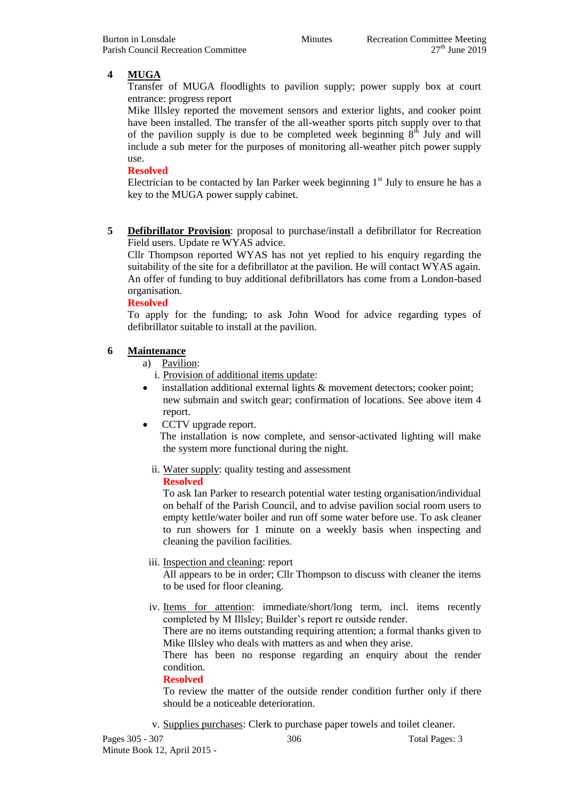# **4 MUGA**

Transfer of MUGA floodlights to pavilion supply; power supply box at court entrance: progress report

Mike Illsley reported the movement sensors and exterior lights, and cooker point have been installed. The transfer of the all-weather sports pitch supply over to that of the pavilion supply is due to be completed week beginning  $8<sup>th</sup>$  July and will include a sub meter for the purposes of monitoring all-weather pitch power supply use.

#### **Resolved**

Electrician to be contacted by Ian Parker week beginning  $1<sup>st</sup>$  July to ensure he has a key to the MUGA power supply cabinet.

**5 Defibrillator Provision**: proposal to purchase/install a defibrillator for Recreation Field users. Update re WYAS advice.

Cllr Thompson reported WYAS has not yet replied to his enquiry regarding the suitability of the site for a defibrillator at the pavilion. He will contact WYAS again. An offer of funding to buy additional defibrillators has come from a London-based organisation.

#### **Resolved**

To apply for the funding; to ask John Wood for advice regarding types of defibrillator suitable to install at the pavilion.

#### **6 Maintenance**

a) Pavilion:

- i. Provision of additional items update:
- installation additional external lights & movement detectors; cooker point; new submain and switch gear; confirmation of locations. See above item 4 report.
- CCTV upgrade report.

The installation is now complete, and sensor-activated lighting will make the system more functional during the night.

ii. Water supply: quality testing and assessment

#### **Resolved**

To ask Ian Parker to research potential water testing organisation/individual on behalf of the Parish Council, and to advise pavilion social room users to empty kettle/water boiler and run off some water before use. To ask cleaner to run showers for 1 minute on a weekly basis when inspecting and cleaning the pavilion facilities.

#### iii. Inspection and cleaning: report

All appears to be in order; Cllr Thompson to discuss with cleaner the items to be used for floor cleaning.

iv. Items for attention: immediate/short/long term, incl. items recently completed by M Illsley; Builder's report re outside render.

There are no items outstanding requiring attention; a formal thanks given to Mike Illsley who deals with matters as and when they arise.

There has been no response regarding an enquiry about the render condition.

#### **Resolved**

To review the matter of the outside render condition further only if there should be a noticeable deterioration.

v. Supplies purchases: Clerk to purchase paper towels and toilet cleaner.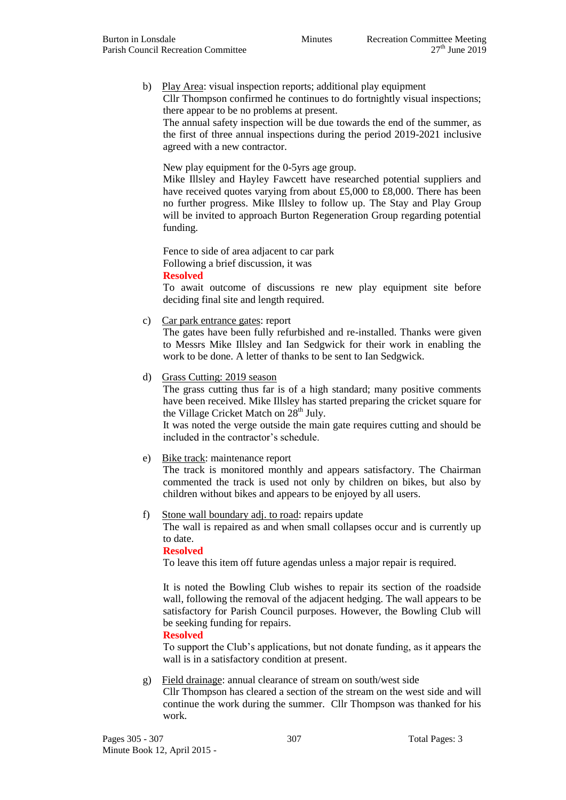b) Play Area: visual inspection reports; additional play equipment Cllr Thompson confirmed he continues to do fortnightly visual inspections; there appear to be no problems at present.

The annual safety inspection will be due towards the end of the summer, as the first of three annual inspections during the period 2019-2021 inclusive agreed with a new contractor.

New play equipment for the 0-5yrs age group.

Mike Illsley and Hayley Fawcett have researched potential suppliers and have received quotes varying from about £5,000 to £8,000. There has been no further progress. Mike Illsley to follow up. The Stay and Play Group will be invited to approach Burton Regeneration Group regarding potential funding.

Fence to side of area adjacent to car park Following a brief discussion, it was **Resolved**

To await outcome of discussions re new play equipment site before deciding final site and length required.

c) Car park entrance gates: report

The gates have been fully refurbished and re-installed. Thanks were given to Messrs Mike Illsley and Ian Sedgwick for their work in enabling the work to be done. A letter of thanks to be sent to Ian Sedgwick.

d) Grass Cutting: 2019 season

The grass cutting thus far is of a high standard; many positive comments have been received. Mike Illsley has started preparing the cricket square for the Village Cricket Match on  $28<sup>th</sup>$  July.

It was noted the verge outside the main gate requires cutting and should be included in the contractor's schedule.

#### e) Bike track: maintenance report

The track is monitored monthly and appears satisfactory. The Chairman commented the track is used not only by children on bikes, but also by children without bikes and appears to be enjoyed by all users.

f) Stone wall boundary adj. to road: repairs update

The wall is repaired as and when small collapses occur and is currently up to date.

**Resolved**

To leave this item off future agendas unless a major repair is required.

It is noted the Bowling Club wishes to repair its section of the roadside wall, following the removal of the adjacent hedging. The wall appears to be satisfactory for Parish Council purposes. However, the Bowling Club will be seeking funding for repairs.

#### **Resolved**

To support the Club's applications, but not donate funding, as it appears the wall is in a satisfactory condition at present.

#### g) Field drainage: annual clearance of stream on south/west side

Cllr Thompson has cleared a section of the stream on the west side and will continue the work during the summer. Cllr Thompson was thanked for his work.